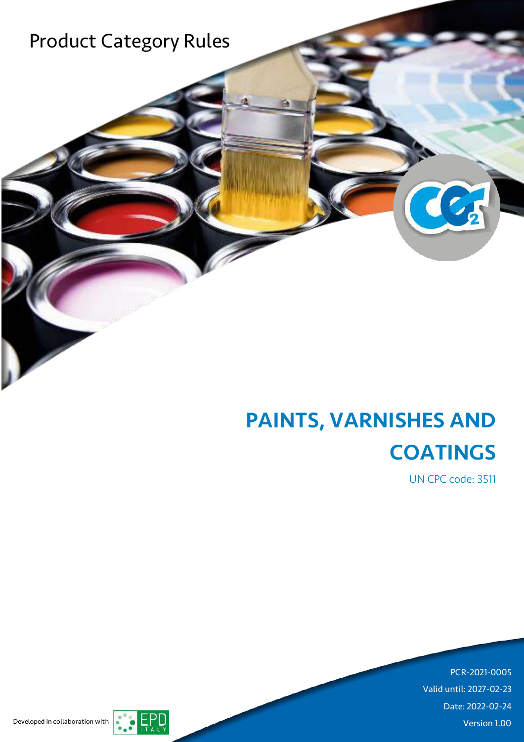

J

# PAINTS, VARNISHES AND **COATINGS**

UN CPC code: 3511

C

 $\mathbf{1}$ PCR-2021-0005 Valid until: 2027-02-23 Date: 2022-02-24 Developed in collaboration with **Version 1.00** 

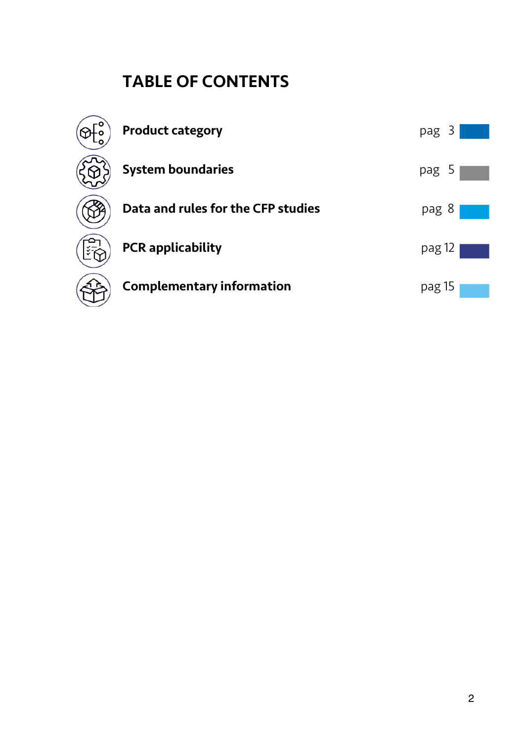## TABLE OF CONTENTS

| <b>Product category</b>            | pag 3  |
|------------------------------------|--------|
| <b>System boundaries</b>           | pag 5  |
| Data and rules for the CFP studies | pag 8  |
| <b>PCR</b> applicability           | pag 12 |
| <b>Complementary information</b>   | pag 15 |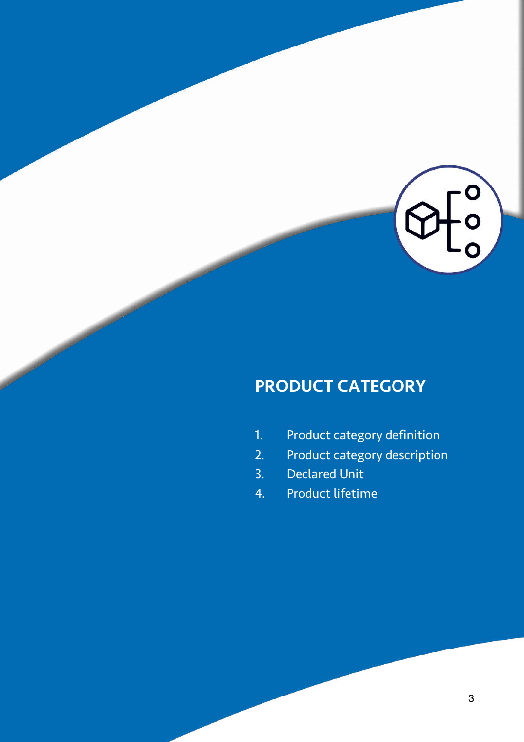

## PRODUCT CATEGORY

- 1. Product category definition
- 2. Product category description
- 3. Declared Unit
- 4. Product lifetime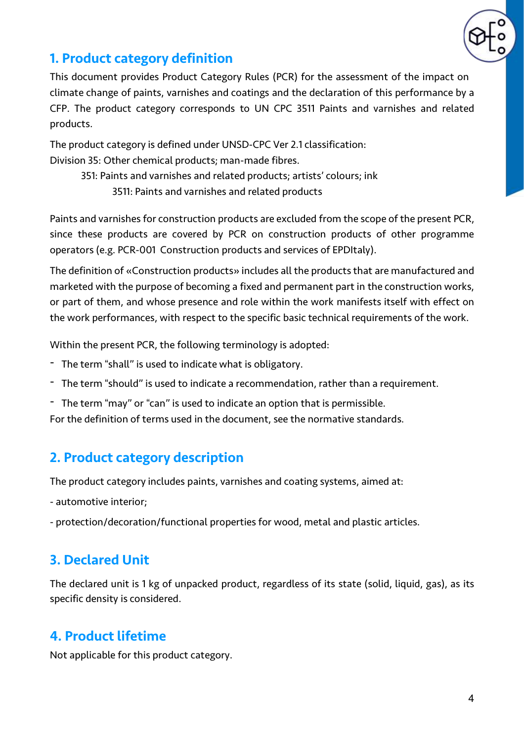

### 1. Product category definition

This document provides Product Category Rules (PCR) for the assessment of the impact on climate change of paints, varnishes and coatings and the declaration of this performance by a CFP. The product category corresponds to UN CPC 3511 Paints and varnishes and related products.

The product category is defined under UNSD-CPC Ver 2.1 classification: Division 35: Other chemical products; man-made fibres.

351: Paints and varnishes and related products; artists' colours; ink

3511: Paints and varnishes and related products

Paints and varnishes for construction products are excluded from the scope of the present PCR, since these products are covered by PCR on construction products of other programme operators (e.g. PCR-001 Construction products and services of EPDItaly).

The definition of «Construction products» includes all the products that are manufactured and marketed with the purpose of becoming a fixed and permanent part in the construction works, or part of them, and whose presence and role within the work manifests itself with effect on the work performances, with respect to the specific basic technical requirements of the work.

Within the present PCR, the following terminology is adopted:

- The term "shall" is used to indicate what is obligatory.
- The term "should" is used to indicate a recommendation, rather than a requirement.
- The term "may" or "can" is used to indicate an option that is permissible.

For the definition of terms used in the document, see the normative standards.

## 2. Product category description

The product category includes paints, varnishes and coating systems, aimed at:

- automotive interior;
- protection/decoration/functional properties for wood, metal and plastic articles.

## 3. Declared Unit

The declared unit is 1 kg of unpacked product, regardless of its state (solid, liquid, gas), as its specific density is considered.

## 4. Product lifetime

Not applicable for this product category.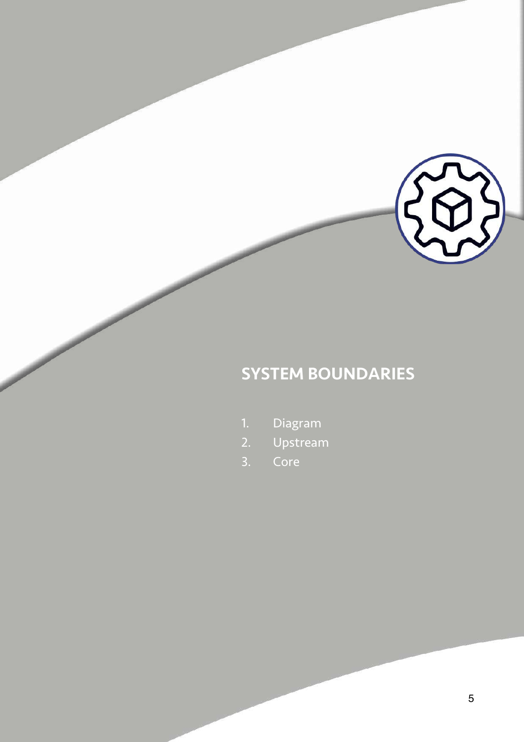

## SYSTEM BOUNDARIES

- 1. Diagram
- 2. Upstream
- 3. Core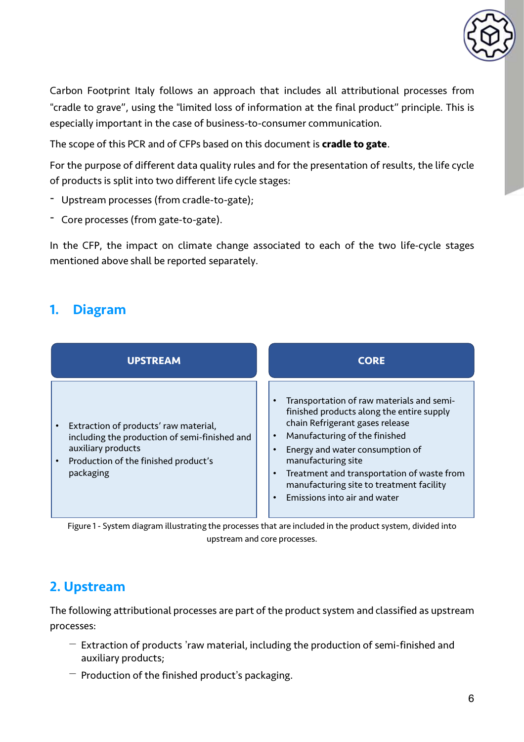

Carbon Footprint Italy follows an approach that includes all attributional processes from "cradle to grave", using the "limited loss of information at the final product" principle. This is especially important in the case of business-to-consumer communication.

The scope of this PCR and of CFPs based on this document is **cradle to gate**.

For the purpose of different data quality rules and for the presentation of results, the life cycle of products is split into two different life cycle stages:

- Upstream processes (from cradle-to-gate);
- Core processes (from gate-to-gate).

In the CFP, the impact on climate change associated to each of the two life-cycle stages mentioned above shall be reported separately.

### 1. Diagram

| <b>UPSTREAM</b>                                                                                                                                                                | <b>CORE</b>                                                                                                                                                                                                                                                                                                                                                                                       |
|--------------------------------------------------------------------------------------------------------------------------------------------------------------------------------|---------------------------------------------------------------------------------------------------------------------------------------------------------------------------------------------------------------------------------------------------------------------------------------------------------------------------------------------------------------------------------------------------|
| Extraction of products' raw material,<br>including the production of semi-finished and<br>auxiliary products<br>Production of the finished product's<br>$\bullet$<br>packaging | Transportation of raw materials and semi-<br>$\bullet$<br>finished products along the entire supply<br>chain Refrigerant gases release<br>Manufacturing of the finished<br>$\bullet$<br>Energy and water consumption of<br>manufacturing site<br>Treatment and transportation of waste from<br>$\bullet$<br>manufacturing site to treatment facility<br>Emissions into air and water<br>$\bullet$ |

Figure 1 - System diagram illustrating the processes that are included in the product system, divided into upstream and core processes.

### 2. Upstream

The following attributional processes are part of the product system and classified as upstream processes:

- $-$  Extraction of products 'raw material, including the production of semi-finished and auxiliary products;
- $-$  Production of the finished product's packaging.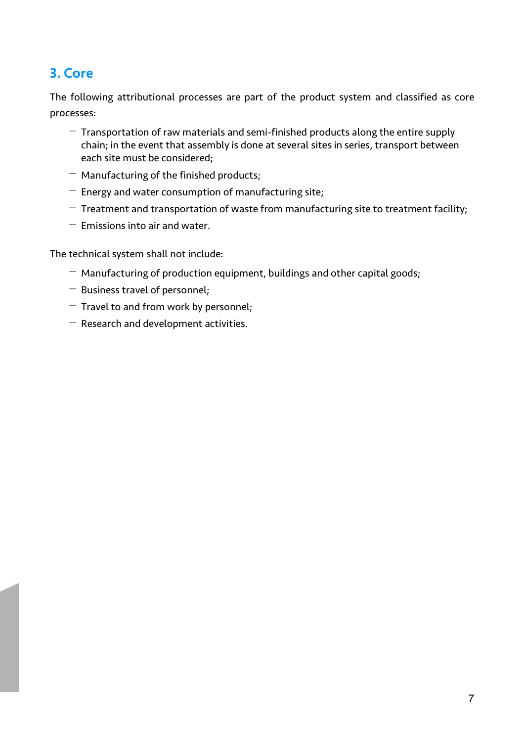## 3. Core

The following attributional processes are part of the product system and classified as core processes:

- $-$  Transportation of raw materials and semi-finished products along the entire supply chain; in the event that assembly is done at several sites in series, transport between each site must be considered;
- $-$  Manufacturing of the finished products;
- $-$  Energy and water consumption of manufacturing site;
- $-$  Treatment and transportation of waste from manufacturing site to treatment facility;
- $-$  Emissions into air and water.

The technical system shall not include:

- $-$  Manufacturing of production equipment, buildings and other capital goods;
- Business travel of personnel;
- $-$  Travel to and from work by personnel;
- $-$  Research and development activities.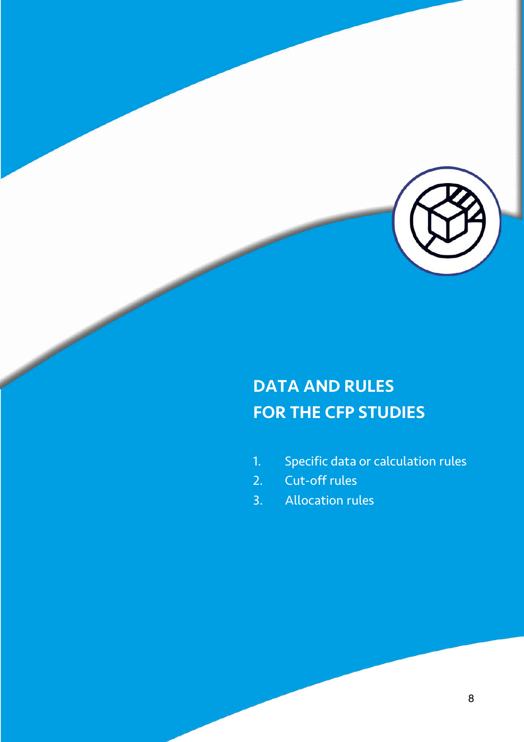

## DATA AND RULES FOR THE CFP STUDIES

- 1. Specific data or calculation rules
- 2. Cut-off rules
- 3. Allocation rules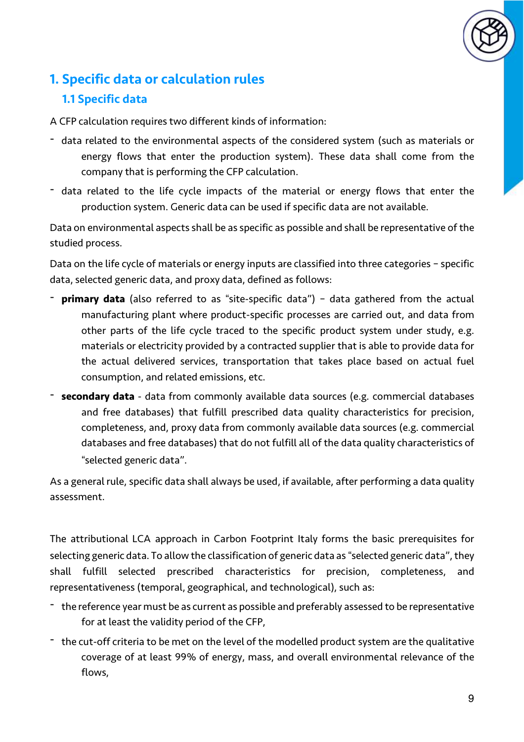

## 1. Specific data or calculation rules

#### 1.1 Specific data

A CFP calculation requires two different kinds of information:

- data related to the environmental aspects of the considered system (such as materials or energy flows that enter the production system). These data shall come from the company that is performing the CFP calculation.
- data related to the life cycle impacts of the material or energy flows that enter the production system. Generic data can be used if specific data are not available.

Data on environmental aspects shall be as specific as possible and shall be representative of the studied process.

Data on the life cycle of materials or energy inputs are classified into three categories – specific data, selected generic data, and proxy data, defined as follows:

- <sup>-</sup> **primary data** (also referred to as "site-specific data") data gathered from the actual manufacturing plant where product-specific processes are carried out, and data from other parts of the life cycle traced to the specific product system under study, e.g. materials or electricity provided by a contracted supplier that is able to provide data for the actual delivered services, transportation that takes place based on actual fuel consumption, and related emissions, etc.
- **secondary data** data from commonly available data sources (e.g. commercial databases and free databases) that fulfill prescribed data quality characteristics for precision, completeness, and, proxy data from commonly available data sources (e.g. commercial databases and free databases) that do not fulfill all of the data quality characteristics of "selected generic data".

As a general rule, specific data shall always be used, if available, after performing a data quality assessment.

The attributional LCA approach in Carbon Footprint Italy forms the basic prerequisites for selecting generic data. To allow the classification of generic data as "selected generic data", they shall fulfill selected prescribed characteristics for precision, completeness, and representativeness (temporal, geographical, and technological), such as:

- the reference year must be as current as possible and preferably assessed to be representative for at least the validity period of the CFP,
- the cut-off criteria to be met on the level of the modelled product system are the qualitative coverage of at least 99% of energy, mass, and overall environmental relevance of the flows,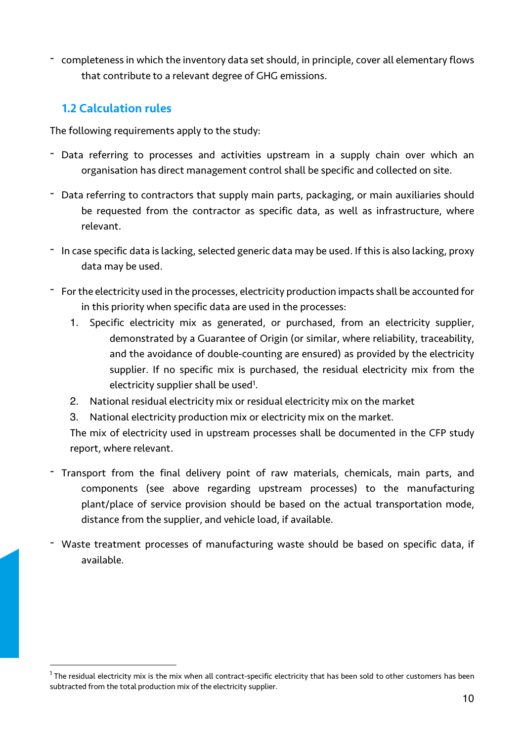- completeness in which the inventory data set should, in principle, cover all elementary flows that contribute to a relevant degree of GHG emissions.

#### 1.2 Calculation rules

The following requirements apply to the study:

- Data referring to processes and activities upstream in a supply chain over which an organisation has direct management control shall be specific and collected on site.
- Data referring to contractors that supply main parts, packaging, or main auxiliaries should be requested from the contractor as specific data, as well as infrastructure, where relevant.
- In case specific data is lacking, selected generic data may be used. If this is also lacking, proxy data may be used.
- Forthe electricity used in the processes, electricity production impacts shall be accounted for in this priority when specific data are used in the processes:
	- 1. Specific electricity mix as generated, or purchased, from an electricity supplier, demonstrated by a Guarantee of Origin (or similar, where reliability, traceability, and the avoidance of double-counting are ensured) as provided by the electricity supplier. If no specific mix is purchased, the residual electricity mix from the electricity supplier shall be used<sup>1</sup>.
	- 2. National residual electricity mix or residual electricity mix on the market
	- 3. National electricity production mix or electricity mix on the market.

The mix of electricity used in upstream processes shall be documented in the CFP study report, where relevant.

- Transport from the final delivery point of raw materials, chemicals, main parts, and components (see above regarding upstream processes) to the manufacturing plant/place of service provision should be based on the actual transportation mode, distance from the supplier, and vehicle load, if available.
- Waste treatment processes of manufacturing waste should be based on specific data, if available.

 $1$  The residual electricity mix is the mix when all contract-specific electricity that has been sold to other customers has been subtracted from the total production mix of the electricity supplier.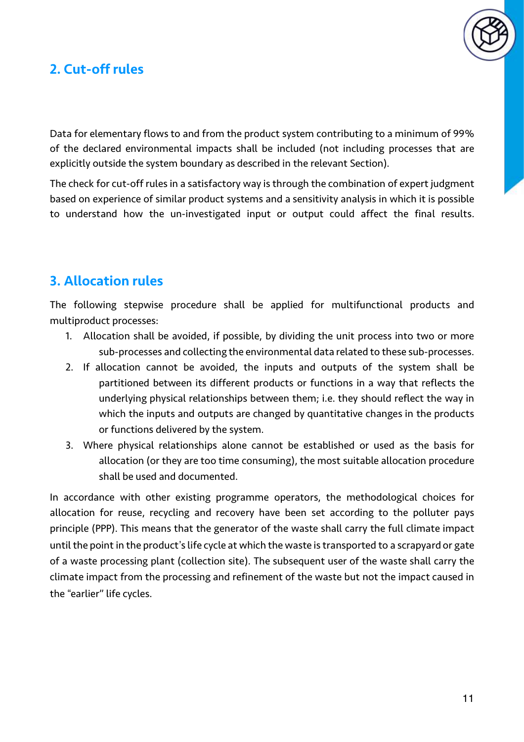

### 2. Cut-off rules

Data for elementary flows to and from the product system contributing to a minimum of 99% of the declared environmental impacts shall be included (not including processes that are explicitly outside the system boundary as described in the relevant Section).

The check for cut-off rules in a satisfactory way is through the combination of expert judgment based on experience of similar product systems and a sensitivity analysis in which it is possible to understand how the un-investigated input or output could affect the final results.

#### 3. Allocation rules

The following stepwise procedure shall be applied for multifunctional products and multiproduct processes:

- 1. Allocation shall be avoided, if possible, by dividing the unit process into two or more sub-processes and collecting the environmental data related to these sub-processes.
- 2. If allocation cannot be avoided, the inputs and outputs of the system shall be partitioned between its different products or functions in a way that reflects the underlying physical relationships between them; i.e. they should reflect the way in which the inputs and outputs are changed by quantitative changes in the products or functions delivered by the system.
- 3. Where physical relationships alone cannot be established or used as the basis for allocation (or they are too time consuming), the most suitable allocation procedure shall be used and documented.

In accordance with other existing programme operators, the methodological choices for allocation for reuse, recycling and recovery have been set according to the polluter pays principle (PPP). This means that the generator of the waste shall carry the full climate impact until the point in the product's life cycle at which the waste is transported to a scrapyard or gate of a waste processing plant (collection site). The subsequent user of the waste shall carry the climate impact from the processing and refinement of the waste but not the impact caused in the "earlier" life cycles.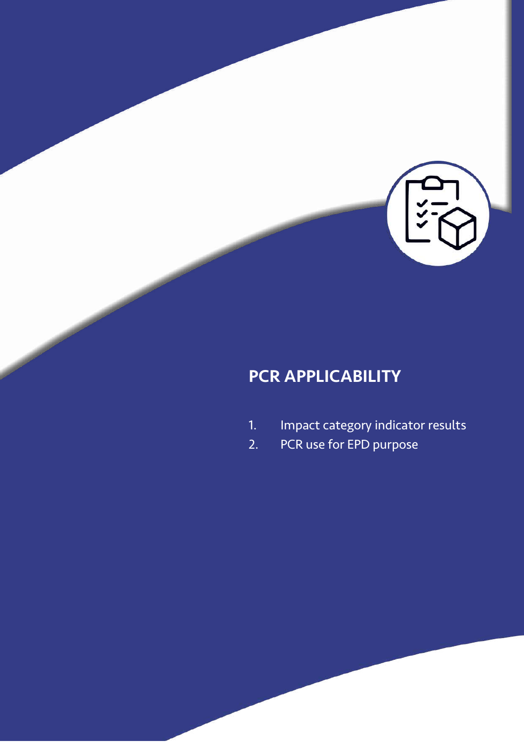

## PCR APPLICABILITY

- 1. Impact category indicator results
- 2. PCR use for EPD purpose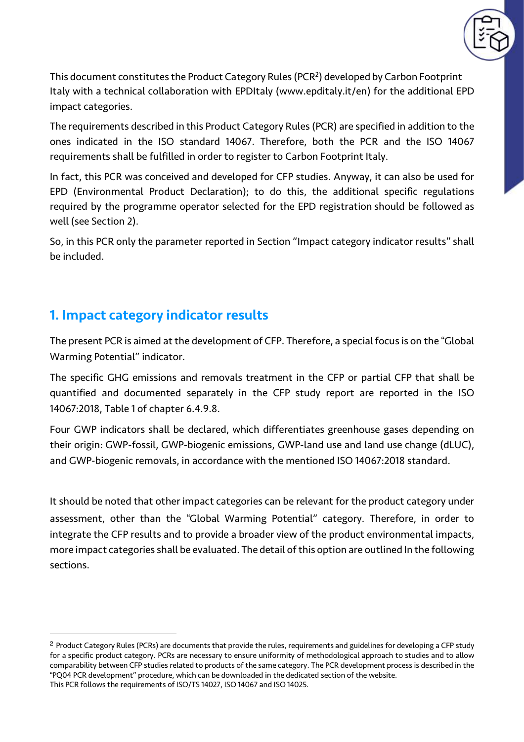

This document constitutes the Product Category Rules (PCR<sup>2</sup>) developed by Carbon Footprint Italy with a technical collaboration with EPDItaly (www.epditaly.it/en) for the additional EPD impact categories.

The requirements described in this Product Category Rules (PCR) are specified in addition to the ones indicated in the ISO standard 14067. Therefore, both the PCR and the ISO 14067 requirements shall be fulfilled in order to register to Carbon Footprint Italy.

In fact, this PCR was conceived and developed for CFP studies. Anyway, it can also be used for EPD (Environmental Product Declaration); to do this, the additional specific regulations required by the programme operator selected for the EPD registration should be followed as well (see Section 2).

So, in this PCR only the parameter reported in Section "Impact category indicator results" shall be included.

#### 1. Impact category indicator results

The present PCR is aimed at the development of CFP. Therefore, a special focus is on the "Global Warming Potential" indicator.

The specific GHG emissions and removals treatment in the CFP or partial CFP that shall be quantified and documented separately in the CFP study report are reported in the ISO 14067:2018, Table 1 of chapter 6.4.9.8.

Four GWP indicators shall be declared, which differentiates greenhouse gases depending on their origin: GWP-fossil, GWP-biogenic emissions, GWP-land use and land use change (dLUC), and GWP-biogenic removals, in accordance with the mentioned ISO 14067:2018 standard.

It should be noted that other impact categories can be relevant for the product category under assessment, other than the "Global Warming Potential" category. Therefore, in order to integrate the CFP results and to provide a broader view of the product environmental impacts, more impact categories shall be evaluated. The detail of this option are outlined In the following sections.

<sup>2</sup> Product Category Rules (PCRs) are documents that provide the rules, requirements and guidelines for developing a CFP study for a specific product category. PCRs are necessary to ensure uniformity of methodological approach to studies and to allow comparability between CFP studies related to products of the same category. The PCR development process is described in the "PQ04 PCR development" procedure, which can be downloaded in the dedicated section of the website. This PCR follows the requirements of ISO/TS 14027, ISO 14067 and ISO 14025.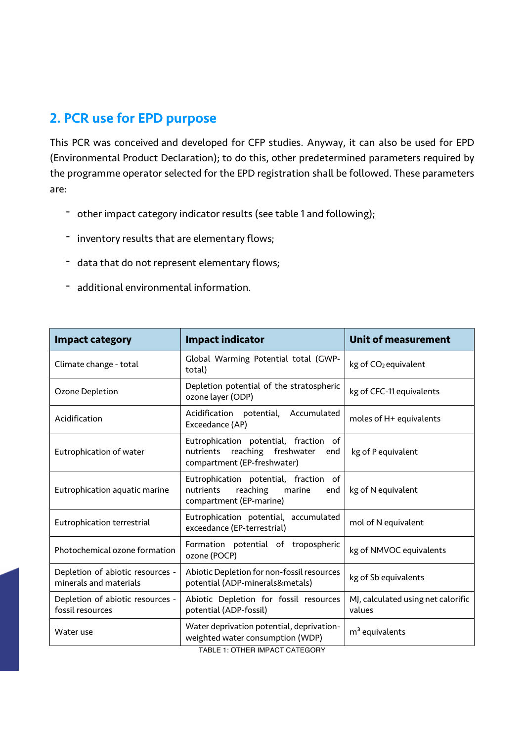#### 2. PCR use for EPD purpose

This PCR was conceived and developed for CFP studies. Anyway, it can also be used for EPD (Environmental Product Declaration); to do this, other predetermined parameters required by the programme operator selected for the EPD registration shall be followed. These parameters are:

- other impact category indicator results (see table 1 and following);
- inventory results that are elementary flows;
- data that do not represent elementary flows;
- additional environmental information.

| <b>Impact category</b>                                     | <b>Impact indicator</b>                                                                                      | <b>Unit of measurement</b>                   |  |
|------------------------------------------------------------|--------------------------------------------------------------------------------------------------------------|----------------------------------------------|--|
| Climate change - total                                     | Global Warming Potential total (GWP-<br>total)                                                               | kg of CO <sub>2</sub> equivalent             |  |
| Ozone Depletion                                            | Depletion potential of the stratospheric<br>ozone layer (ODP)                                                | kg of CFC-11 equivalents                     |  |
| Acidification                                              | Acidification potential, Accumulated<br>Exceedance (AP)                                                      | moles of H+ equivalents                      |  |
| Eutrophication of water                                    | Eutrophication potential, fraction of<br>nutrients reaching freshwater<br>end<br>compartment (EP-freshwater) | kg of P equivalent                           |  |
| Eutrophication aquatic marine                              | Eutrophication potential, fraction of<br>nutrients<br>reaching marine<br>end<br>compartment (EP-marine)      | kg of N equivalent                           |  |
| Eutrophication terrestrial                                 | Eutrophication potential, accumulated<br>exceedance (EP-terrestrial)                                         | mol of N equivalent                          |  |
| Photochemical ozone formation                              | Formation potential of tropospheric<br>ozone (POCP)                                                          | kg of NMVOC equivalents                      |  |
| Depletion of abiotic resources -<br>minerals and materials | Abiotic Depletion for non-fossil resources<br>potential (ADP-minerals&metals)                                | kg of Sb equivalents                         |  |
| Depletion of abiotic resources -<br>fossil resources       | Abiotic Depletion for fossil resources<br>potential (ADP-fossil)                                             | MJ, calculated using net calorific<br>values |  |
| Water use                                                  | Water deprivation potential, deprivation-<br>weighted water consumption (WDP)                                | $m3$ equivalents                             |  |

TABLE 1: OTHER IMPACT CATEGORY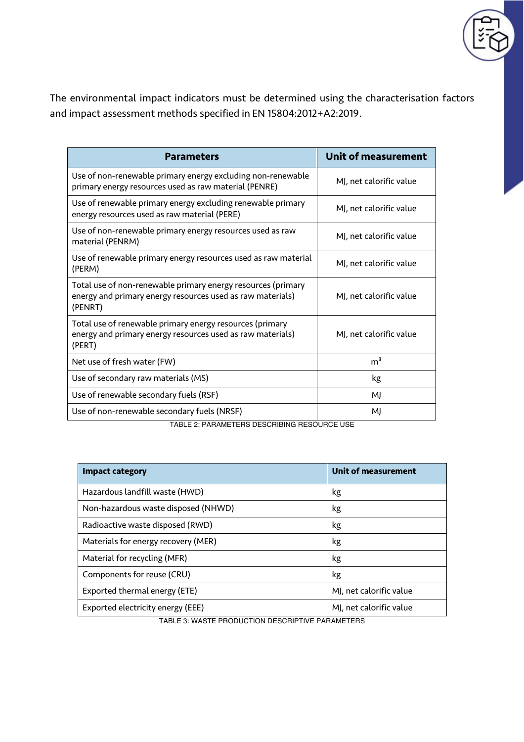

The environmental impact indicators must be determined using the characterisation factors and impact assessment methods specified in EN 15804:2012+A2:2019.

| <b>Parameters</b>                                                                                                                     | <b>Unit of measurement</b> |
|---------------------------------------------------------------------------------------------------------------------------------------|----------------------------|
| Use of non-renewable primary energy excluding non-renewable<br>primary energy resources used as raw material (PENRE)                  | MJ, net calorific value    |
| Use of renewable primary energy excluding renewable primary<br>energy resources used as raw material (PERE)                           | MJ, net calorific value    |
| Use of non-renewable primary energy resources used as raw<br>material (PENRM)                                                         | MJ, net calorific value    |
| Use of renewable primary energy resources used as raw material<br>(PERM)                                                              | MJ, net calorific value    |
| Total use of non-renewable primary energy resources (primary<br>energy and primary energy resources used as raw materials)<br>(PENRT) | MJ, net calorific value    |
| Total use of renewable primary energy resources (primary<br>energy and primary energy resources used as raw materials)<br>(PERT)      | MJ, net calorific value    |
| Net use of fresh water (FW)                                                                                                           | m <sup>3</sup>             |
| Use of secondary raw materials (MS)                                                                                                   | kg                         |
| Use of renewable secondary fuels (RSF)                                                                                                | MJ                         |
| Use of non-renewable secondary fuels (NRSF)                                                                                           | MI                         |

TABLE 2: PARAMETERS DESCRIBING RESOURCE USE

| <b>Impact category</b>              | <b>Unit of measurement</b> |
|-------------------------------------|----------------------------|
| Hazardous landfill waste (HWD)      | kg                         |
| Non-hazardous waste disposed (NHWD) | kg                         |
| Radioactive waste disposed (RWD)    | kg                         |
| Materials for energy recovery (MER) | kg                         |
| Material for recycling (MFR)        | kg                         |
| Components for reuse (CRU)          | kg                         |
| Exported thermal energy (ETE)       | MJ, net calorific value    |
| Exported electricity energy (EEE)   | MJ, net calorific value    |

TABLE 3: WASTE PRODUCTION DESCRIPTIVE PARAMETERS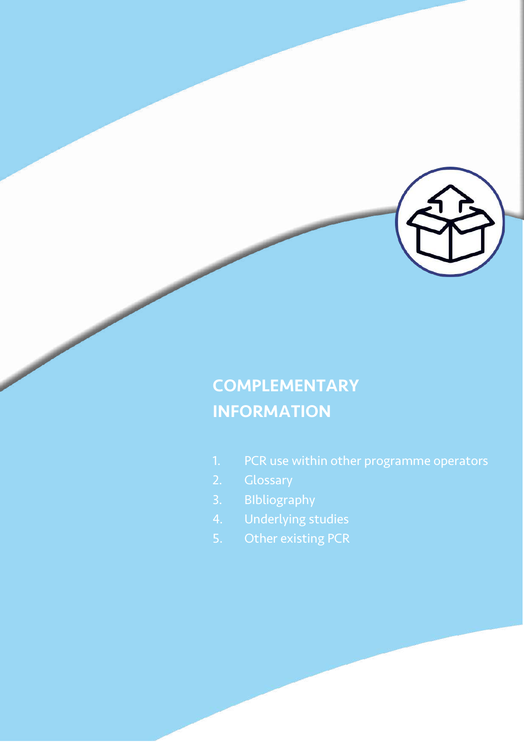

## **COMPLEMENTARY** INFORMATION

- 1. PCR use within other programme operators
- 
- 3. BIbliography
- 4. Underlying studies
- 5. Other existing PCR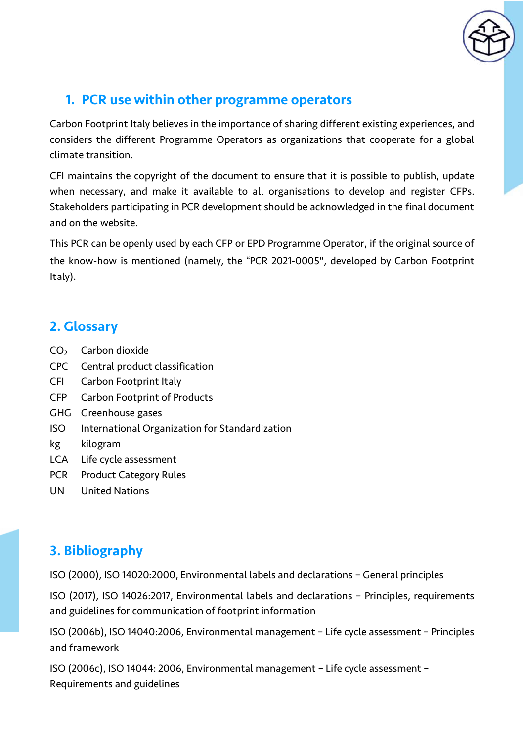

## 1. PCR use within other programme operators

Carbon Footprint Italy believes in the importance of sharing different existing experiences, and considers the different Programme Operators as organizations that cooperate for a global climate transition.

CFI maintains the copyright of the document to ensure that it is possible to publish, update when necessary, and make it available to all organisations to develop and register CFPs. Stakeholders participating in PCR development should be acknowledged in the final document and on the website.

This PCR can be openly used by each CFP or EPD Programme Operator, if the original source of the know-how is mentioned (namely, the "PCR 2021-0005", developed by Carbon Footprint Italy).

### 2. Glossary

- $CO<sub>2</sub>$  Carbon dioxide
- CPC Central product classification
- CFI Carbon Footprint Italy
- CFP Carbon Footprint of Products
- GHG Greenhouse gases
- ISO International Organization for Standardization
- kg kilogram
- LCA Life cycle assessment
- PCR Product Category Rules
- UN United Nations

## 3. Bibliography

ISO (2000), ISO 14020:2000, Environmental labels and declarations – General principles

ISO (2017), ISO 14026:2017, Environmental labels and declarations – Principles, requirements and guidelines for communication of footprint information

ISO (2006b), ISO 14040:2006, Environmental management – Life cycle assessment – Principles and framework

ISO (2006c), ISO 14044: 2006, Environmental management – Life cycle assessment – Requirements and guidelines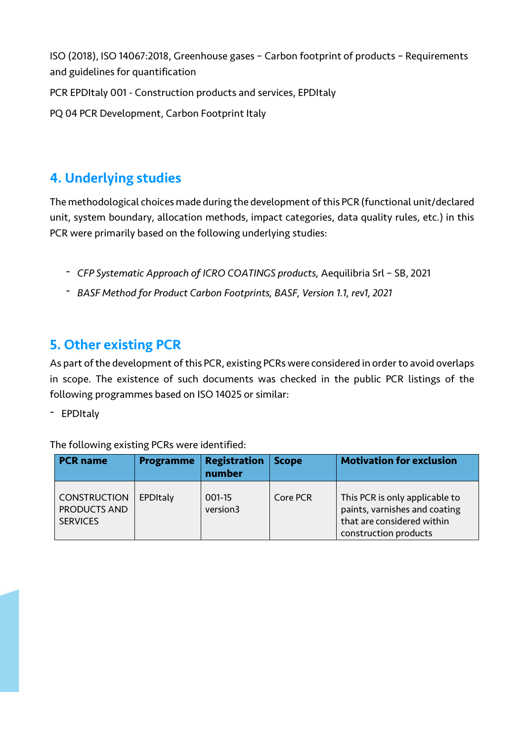ISO (2018), ISO 14067:2018, Greenhouse gases – Carbon footprint of products – Requirements and guidelines for quantification

PCR EPDItaly 001 - Construction products and services, EPDItaly

PQ 04 PCR Development, Carbon Footprint Italy

### 4. Underlying studies

The methodological choices made during the development ofthis PCR (functional unit/declared unit, system boundary, allocation methods, impact categories, data quality rules, etc.) in this PCR were primarily based on the following underlying studies:

- *- CFP Systematic Approach of ICRO COATINGS products,* Aequilibria Srl SB, 2021
- *- BASF Method for Product Carbon Footprints, BASF, Version 1.1, rev1, 2021*

### 5. Other existing PCR

As part of the development of this PCR, existing PCRs were considered in order to avoid overlaps in scope. The existence of such documents was checked in the public PCR listings of the following programmes based on ISO 14025 or similar:

- EPDItaly

The following existing PCRs were identified:

| <b>PCR name</b>                                        | <b>Programme</b> | <b>Registration</b><br>number | <b>Scope</b> | <b>Motivation for exclusion</b>                                                                                        |
|--------------------------------------------------------|------------------|-------------------------------|--------------|------------------------------------------------------------------------------------------------------------------------|
| <b>CONSTRUCTION</b><br>PRODUCTS AND<br><b>SERVICES</b> | EPDItaly         | 001-15<br>version3            | Core PCR     | This PCR is only applicable to<br>paints, varnishes and coating<br>that are considered within<br>construction products |